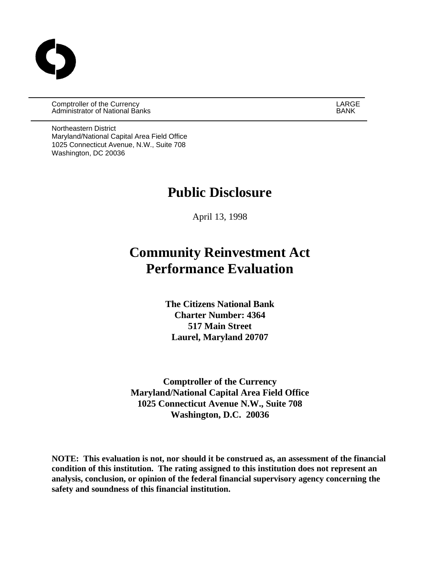Comptroller of the Currency LARGE Administrator of National Banks BANK

Northeastern District Maryland/National Capital Area Field Office 1025 Connecticut Avenue, N.W., Suite 708 Washington, DC 20036

# **Public Disclosure**

April 13, 1998

# **Community Reinvestment Act Performance Evaluation**

**The Citizens National Bank Charter Number: 4364 517 Main Street Laurel, Maryland 20707**

**Comptroller of the Currency Maryland/National Capital Area Field Office 1025 Connecticut Avenue N.W., Suite 708 Washington, D.C. 20036**

**NOTE: This evaluation is not, nor should it be construed as, an assessment of the financial condition of this institution. The rating assigned to this institution does not represent an analysis, conclusion, or opinion of the federal financial supervisory agency concerning the safety and soundness of this financial institution.**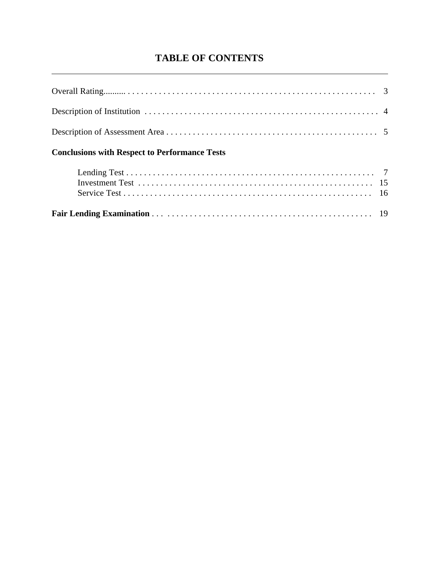# **TABLE OF CONTENTS**

l

| <b>Conclusions with Respect to Performance Tests</b> |  |
|------------------------------------------------------|--|
|                                                      |  |
|                                                      |  |
|                                                      |  |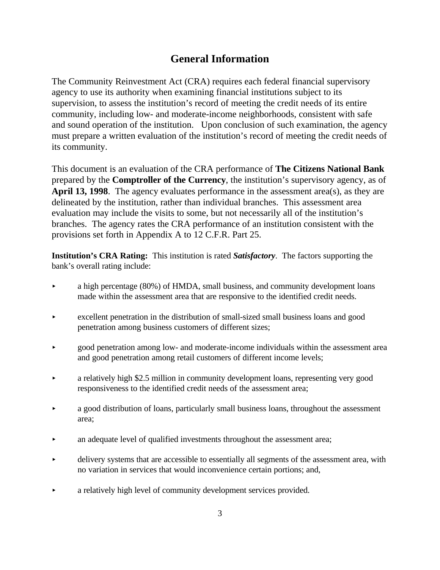# **General Information**

The Community Reinvestment Act (CRA) requires each federal financial supervisory agency to use its authority when examining financial institutions subject to its supervision, to assess the institution's record of meeting the credit needs of its entire community, including low- and moderate-income neighborhoods, consistent with safe and sound operation of the institution. Upon conclusion of such examination, the agency must prepare a written evaluation of the institution's record of meeting the credit needs of its community.

This document is an evaluation of the CRA performance of **The Citizens National Bank**  prepared by the **Comptroller of the Currency**, the institution's supervisory agency, as of **April 13, 1998**. The agency evaluates performance in the assessment area(s), as they are delineated by the institution, rather than individual branches. This assessment area evaluation may include the visits to some, but not necessarily all of the institution's branches. The agency rates the CRA performance of an institution consistent with the provisions set forth in Appendix A to 12 C.F.R. Part 25.

**Institution's CRA Rating:** This institution is rated *Satisfactory*. The factors supporting the bank's overall rating include:

- < a high percentage (80%) of HMDA, small business, and community development loans made within the assessment area that are responsive to the identified credit needs.
- $\triangleright$  excellent penetration in the distribution of small-sized small business loans and good penetration among business customers of different sizes;
- **Example 2** and provide and moderate-income individuals within the assessment area and good penetration among retail customers of different income levels;
- a relatively high \$2.5 million in community development loans, representing very good responsiveness to the identified credit needs of the assessment area;
- < a good distribution of loans, particularly small business loans, throughout the assessment area;
- an adequate level of qualified investments throughout the assessment area;
- < delivery systems that are accessible to essentially all segments of the assessment area, with no variation in services that would inconvenience certain portions; and,
- < a relatively high level of community development services provided.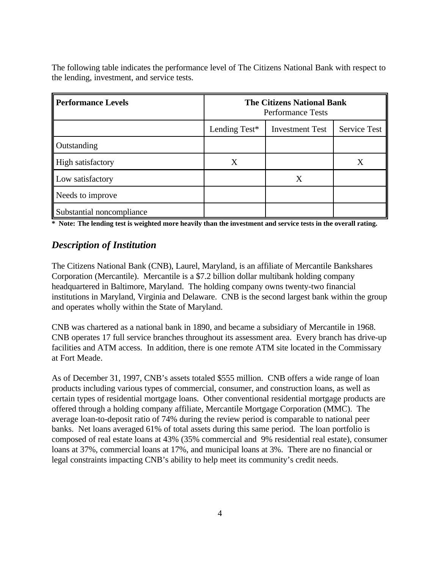The following table indicates the performance level of The Citizens National Bank with respect to the lending, investment, and service tests.

| <b>Performance Levels</b> | <b>The Citizens National Bank</b><br><b>Performance Tests</b> |   |   |  |
|---------------------------|---------------------------------------------------------------|---|---|--|
|                           | Service Test<br>Lending Test*<br><b>Investment Test</b>       |   |   |  |
| Outstanding               |                                                               |   |   |  |
| High satisfactory         | Χ                                                             |   | X |  |
| Low satisfactory          |                                                               | Χ |   |  |
| Needs to improve          |                                                               |   |   |  |
| Substantial noncompliance |                                                               |   |   |  |

**\* Note: The lending test is weighted more heavily than the investment and service tests in the overall rating.**

#### *Description of Institution*

The Citizens National Bank (CNB), Laurel, Maryland, is an affiliate of Mercantile Bankshares Corporation (Mercantile). Mercantile is a \$7.2 billion dollar multibank holding company headquartered in Baltimore, Maryland. The holding company owns twenty-two financial institutions in Maryland, Virginia and Delaware. CNB is the second largest bank within the group and operates wholly within the State of Maryland.

CNB was chartered as a national bank in 1890, and became a subsidiary of Mercantile in 1968. CNB operates 17 full service branches throughout its assessment area. Every branch has drive-up facilities and ATM access. In addition, there is one remote ATM site located in the Commissary at Fort Meade.

As of December 31, 1997, CNB's assets totaled \$555 million. CNB offers a wide range of loan products including various types of commercial, consumer, and construction loans, as well as certain types of residential mortgage loans. Other conventional residential mortgage products are offered through a holding company affiliate, Mercantile Mortgage Corporation (MMC). The average loan-to-deposit ratio of 74% during the review period is comparable to national peer banks. Net loans averaged 61% of total assets during this same period. The loan portfolio is composed of real estate loans at 43% (35% commercial and 9% residential real estate), consumer loans at 37%, commercial loans at 17%, and municipal loans at 3%. There are no financial or legal constraints impacting CNB's ability to help meet its community's credit needs.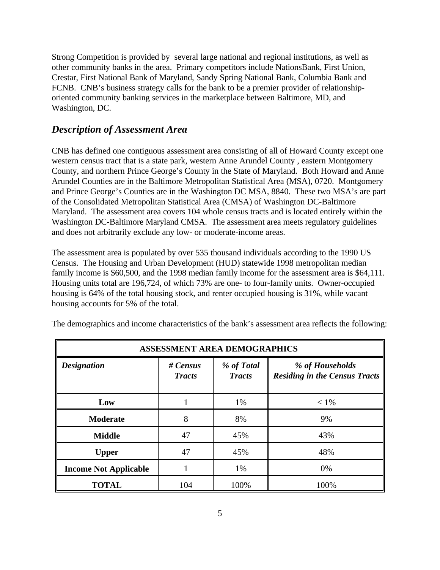Strong Competition is provided by several large national and regional institutions, as well as other community banks in the area. Primary competitors include NationsBank, First Union, Crestar, First National Bank of Maryland, Sandy Spring National Bank, Columbia Bank and FCNB. CNB's business strategy calls for the bank to be a premier provider of relationshiporiented community banking services in the marketplace between Baltimore, MD, and Washington, DC.

## *Description of Assessment Area*

CNB has defined one contiguous assessment area consisting of all of Howard County except one western census tract that is a state park, western Anne Arundel County , eastern Montgomery County, and northern Prince George's County in the State of Maryland. Both Howard and Anne Arundel Counties are in the Baltimore Metropolitan Statistical Area (MSA), 0720. Montgomery and Prince George's Counties are in the Washington DC MSA, 8840. These two MSA's are part of the Consolidated Metropolitan Statistical Area (CMSA) of Washington DC-Baltimore Maryland. The assessment area covers 104 whole census tracts and is located entirely within the Washington DC-Baltimore Maryland CMSA. The assessment area meets regulatory guidelines and does not arbitrarily exclude any low- or moderate-income areas.

The assessment area is populated by over 535 thousand individuals according to the 1990 US Census. The Housing and Urban Development (HUD) statewide 1998 metropolitan median family income is \$60,500, and the 1998 median family income for the assessment area is \$64,111. Housing units total are 196,724, of which 73% are one- to four-family units. Owner-occupied housing is 64% of the total housing stock, and renter occupied housing is 31%, while vacant housing accounts for 5% of the total.

| <b>ASSESSMENT AREA DEMOGRAPHICS</b> |                           |                             |                                                         |  |  |  |
|-------------------------------------|---------------------------|-----------------------------|---------------------------------------------------------|--|--|--|
| <b>Designation</b>                  | # Census<br><b>Tracts</b> | % of Total<br><b>Tracts</b> | % of Households<br><b>Residing in the Census Tracts</b> |  |  |  |
| Low                                 |                           | 1%                          | $< 1\%$                                                 |  |  |  |
| <b>Moderate</b>                     | 8                         | 8%                          | 9%                                                      |  |  |  |
| <b>Middle</b>                       | 47                        | 45%                         | 43%                                                     |  |  |  |
| <b>Upper</b>                        | 47                        | 45%                         | 48%                                                     |  |  |  |
| <b>Income Not Applicable</b>        |                           | 1%                          | 0%                                                      |  |  |  |
| <b>TOTAL</b>                        | 104                       | 100%                        | 100%                                                    |  |  |  |

The demographics and income characteristics of the bank's assessment area reflects the following: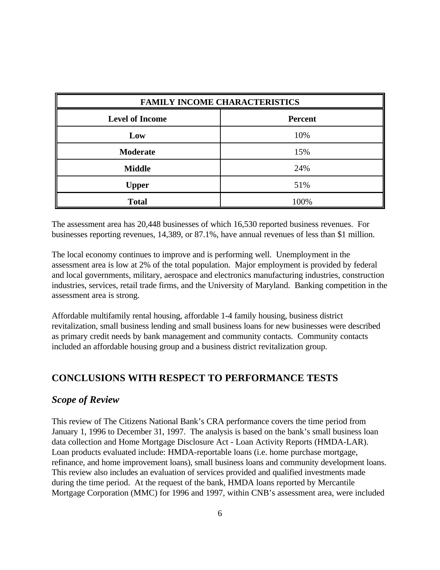| <b>FAMILY INCOME CHARACTERISTICS</b>     |      |  |  |  |  |
|------------------------------------------|------|--|--|--|--|
| <b>Level of Income</b><br><b>Percent</b> |      |  |  |  |  |
| Low                                      | 10%  |  |  |  |  |
| <b>Moderate</b>                          | 15%  |  |  |  |  |
| <b>Middle</b>                            | 24%  |  |  |  |  |
| <b>Upper</b>                             | 51%  |  |  |  |  |
| <b>Total</b>                             | 100% |  |  |  |  |

The assessment area has 20,448 businesses of which 16,530 reported business revenues. For businesses reporting revenues, 14,389, or 87.1%, have annual revenues of less than \$1 million.

The local economy continues to improve and is performing well. Unemployment in the assessment area is low at 2% of the total population. Major employment is provided by federal and local governments, military, aerospace and electronics manufacturing industries, construction industries, services, retail trade firms, and the University of Maryland. Banking competition in the assessment area is strong.

Affordable multifamily rental housing, affordable 1-4 family housing, business district revitalization, small business lending and small business loans for new businesses were described as primary credit needs by bank management and community contacts. Community contacts included an affordable housing group and a business district revitalization group.

### **CONCLUSIONS WITH RESPECT TO PERFORMANCE TESTS**

#### *Scope of Review*

This review of The Citizens National Bank's CRA performance covers the time period from January 1, 1996 to December 31, 1997. The analysis is based on the bank's small business loan data collection and Home Mortgage Disclosure Act - Loan Activity Reports (HMDA-LAR). Loan products evaluated include: HMDA-reportable loans (i.e. home purchase mortgage, refinance, and home improvement loans), small business loans and community development loans. This review also includes an evaluation of services provided and qualified investments made during the time period. At the request of the bank, HMDA loans reported by Mercantile Mortgage Corporation (MMC) for 1996 and 1997, within CNB's assessment area, were included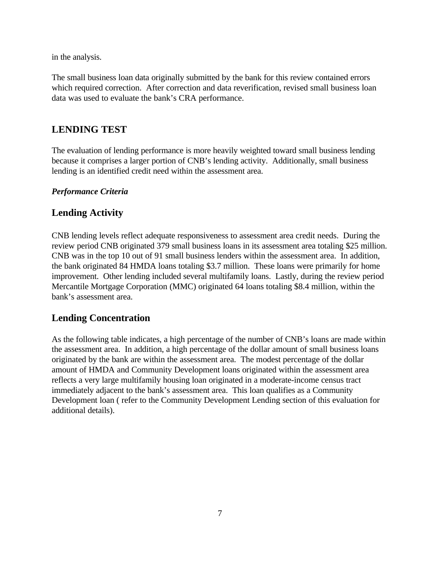in the analysis.

The small business loan data originally submitted by the bank for this review contained errors which required correction. After correction and data reverification, revised small business loan data was used to evaluate the bank's CRA performance.

# **LENDING TEST**

The evaluation of lending performance is more heavily weighted toward small business lending because it comprises a larger portion of CNB's lending activity. Additionally, small business lending is an identified credit need within the assessment area.

#### *Performance Criteria*

# **Lending Activity**

CNB lending levels reflect adequate responsiveness to assessment area credit needs. During the review period CNB originated 379 small business loans in its assessment area totaling \$25 million. CNB was in the top 10 out of 91 small business lenders within the assessment area. In addition, the bank originated 84 HMDA loans totaling \$3.7 million. These loans were primarily for home improvement. Other lending included several multifamily loans. Lastly, during the review period Mercantile Mortgage Corporation (MMC) originated 64 loans totaling \$8.4 million, within the bank's assessment area.

# **Lending Concentration**

As the following table indicates, a high percentage of the number of CNB's loans are made within the assessment area. In addition, a high percentage of the dollar amount of small business loans originated by the bank are within the assessment area. The modest percentage of the dollar amount of HMDA and Community Development loans originated within the assessment area reflects a very large multifamily housing loan originated in a moderate-income census tract immediately adjacent to the bank's assessment area. This loan qualifies as a Community Development loan ( refer to the Community Development Lending section of this evaluation for additional details).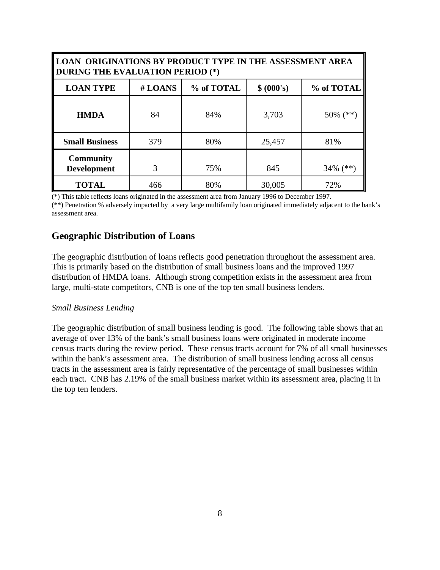| <b>LOAN ORIGINATIONS BY PRODUCT TYPE IN THE ASSESSMENT AREA</b><br>DURING THE EVALUATION PERIOD (*) |     |     |        |             |  |  |  |  |
|-----------------------------------------------------------------------------------------------------|-----|-----|--------|-------------|--|--|--|--|
| <b>LOAN TYPE</b><br>#LOANS<br>% of TOTAL<br>\$ (000's)<br>% of TOTAL                                |     |     |        |             |  |  |  |  |
| <b>HMDA</b>                                                                                         | 84  | 84% | 3,703  | $50\%$ (**) |  |  |  |  |
| <b>Small Business</b>                                                                               | 379 | 80% | 25,457 | 81%         |  |  |  |  |
| <b>Community</b><br><b>Development</b>                                                              | 3   | 75% | 845    | $34\%$ (**) |  |  |  |  |
| <b>TOTAL</b>                                                                                        | 466 | 80% | 30,005 | 72%         |  |  |  |  |

(\*) This table reflects loans originated in the assessment area from January 1996 to December 1997. (\*\*) Penetration % adversely impacted by a very large multifamily loan originated immediately adjacent to the bank's assessment area.

### **Geographic Distribution of Loans**

The geographic distribution of loans reflects good penetration throughout the assessment area. This is primarily based on the distribution of small business loans and the improved 1997 distribution of HMDA loans. Although strong competition exists in the assessment area from large, multi-state competitors, CNB is one of the top ten small business lenders.

#### *Small Business Lending*

The geographic distribution of small business lending is good. The following table shows that an average of over 13% of the bank's small business loans were originated in moderate income census tracts during the review period. These census tracts account for 7% of all small businesses within the bank's assessment area. The distribution of small business lending across all census tracts in the assessment area is fairly representative of the percentage of small businesses within each tract. CNB has 2.19% of the small business market within its assessment area, placing it in the top ten lenders.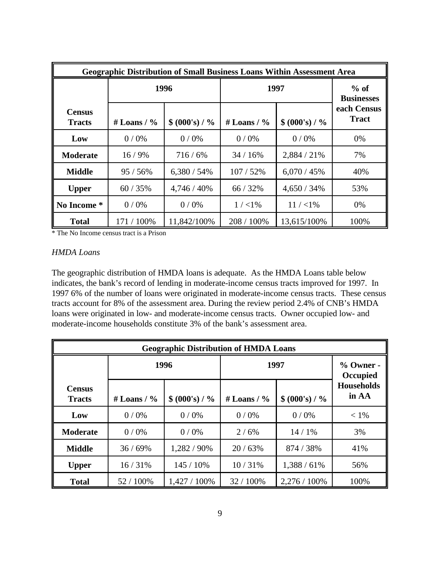| <b>Geographic Distribution of Small Business Loans Within Assessment Area</b> |                |                  |                |                             |                             |  |
|-------------------------------------------------------------------------------|----------------|------------------|----------------|-----------------------------|-----------------------------|--|
|                                                                               | 1996           |                  | 1997           | $%$ of<br><b>Businesses</b> |                             |  |
| <b>Census</b><br><b>Tracts</b>                                                | # Loans / $\%$ | $$ (000's) / \%$ | # Loans / $\%$ | $$ (000's) / \%$            | each Census<br><b>Tract</b> |  |
| Low                                                                           | 0/0%           | 0/0%             | $0/0\%$        | $0/0\%$                     | 0%                          |  |
| <b>Moderate</b>                                                               | 16/9%          | 716/6%           | 34/16%         | 2,884 / 21%                 | 7%                          |  |
| <b>Middle</b>                                                                 | 95 / 56%       | $6,380 / 54\%$   | 107/52%        | 6,070/45%                   | 40%                         |  |
| <b>Upper</b>                                                                  | 60 / 35%       | 4,746 / 40%      | 66 / 32%       | $4,650/34\%$                | 53%                         |  |
| No Income *                                                                   | 0/0%           | $0/0\%$          | $1 / < 1\%$    | $11 / < 1\%$                | 0%                          |  |
| <b>Total</b>                                                                  | 171 / 100%     | 11,842/100%      | 208 / 100%     | 13,615/100%                 | 100%                        |  |

\* The No Income census tract is a Prison

#### *HMDA Loans*

The geographic distribution of HMDA loans is adequate. As the HMDA Loans table below indicates, the bank's record of lending in moderate-income census tracts improved for 1997. In 1997 6% of the number of loans were originated in moderate-income census tracts. These census tracts account for 8% of the assessment area. During the review period 2.4% of CNB's HMDA loans were originated in low- and moderate-income census tracts. Owner occupied low- and moderate-income households constitute 3% of the bank's assessment area.

| <b>Geographic Distribution of HMDA Loans</b> |                |                  |                                    |                                                       |         |  |
|----------------------------------------------|----------------|------------------|------------------------------------|-------------------------------------------------------|---------|--|
|                                              |                | 1996             | 1997                               | $%$ Owner -<br>Occupied<br><b>Households</b><br>in AA |         |  |
| <b>Census</b><br><b>Tracts</b>               | # Loans / $\%$ | $$ (000's) / \%$ | $$ (000's) / \%$<br># Loans / $\%$ |                                                       |         |  |
| Low                                          | 0/0%           | 0/0%             | 0/0%                               | 0/0%                                                  | $< 1\%$ |  |
| <b>Moderate</b>                              | 0/0%           | 0/0%             | 2/6%                               | 14/1%                                                 | 3%      |  |
| <b>Middle</b>                                | 36/69%         | 1,282 / 90%      | 20/63%                             | 874 / 38%                                             | 41%     |  |
| <b>Upper</b>                                 | 16/31%         | 145 / 10%        | 10/31%                             | 1,388/61%                                             | 56%     |  |
| <b>Total</b>                                 | 52 / 100%      | 1,427 / 100%     | 32 / 100%                          | $2,276/100\%$                                         | 100%    |  |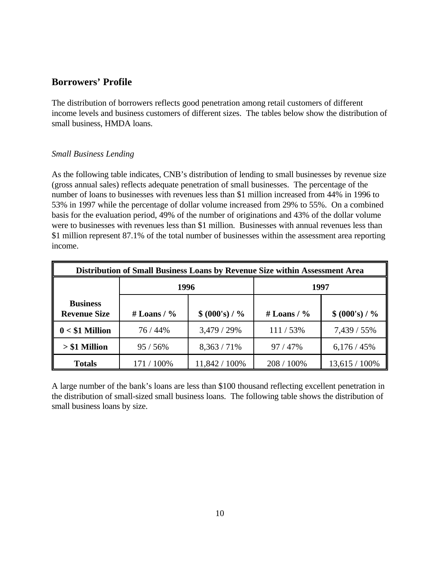## **Borrowers' Profile**

The distribution of borrowers reflects good penetration among retail customers of different income levels and business customers of different sizes. The tables below show the distribution of small business, HMDA loans.

#### *Small Business Lending*

As the following table indicates, CNB's distribution of lending to small businesses by revenue size (gross annual sales) reflects adequate penetration of small businesses. The percentage of the number of loans to businesses with revenues less than \$1 million increased from 44% in 1996 to 53% in 1997 while the percentage of dollar volume increased from 29% to 55%. On a combined basis for the evaluation period, 49% of the number of originations and 43% of the dollar volume were to businesses with revenues less than \$1 million. Businesses with annual revenues less than \$1 million represent 87.1% of the total number of businesses within the assessment area reporting income.

| Distribution of Small Business Loans by Revenue Size within Assessment Area |                                    |               |                |                  |  |  |
|-----------------------------------------------------------------------------|------------------------------------|---------------|----------------|------------------|--|--|
|                                                                             | 1996                               |               | 1997           |                  |  |  |
| <b>Business</b><br><b>Revenue Size</b>                                      | $$ (000's) / \%$<br># Loans / $\%$ |               | # Loans / $\%$ | $$ (000's) / \%$ |  |  |
| $0 < $1$ Million                                                            | 76 / 44%                           | $3,479/29\%$  | $111 / 53\%$   | 7,439 / 55%      |  |  |
| $> $1$ Million                                                              | 95/56%                             | $8,363/71\%$  | 97/47%         | 6,176/45%        |  |  |
| <b>Totals</b>                                                               | 171 / 100%                         | 11,842 / 100% | 208 / 100%     | $13,615/100\%$   |  |  |

A large number of the bank's loans are less than \$100 thousand reflecting excellent penetration in the distribution of small-sized small business loans. The following table shows the distribution of small business loans by size.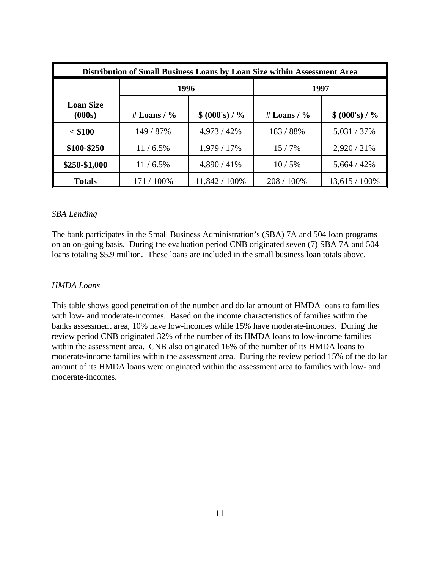| Distribution of Small Business Loans by Loan Size within Assessment Area |                |                  |                |                  |  |  |
|--------------------------------------------------------------------------|----------------|------------------|----------------|------------------|--|--|
|                                                                          | 1996           |                  |                | 1997             |  |  |
| <b>Loan Size</b><br>(000s)                                               | # Loans / $\%$ | $$ (000's) / \%$ | # Loans / $\%$ | $$ (000's) / \%$ |  |  |
| $<$ \$100                                                                | 149 / 87%      | $4,973/42\%$     | 183 / 88%      | 5,031 / 37%      |  |  |
| \$100-\$250                                                              | $11/6.5\%$     | 1,979 / 17%      | $15/7\%$       | $2,920/21\%$     |  |  |
| \$250-\$1,000                                                            | $11/6.5\%$     | 4,890 / 41%      | 10/5%          | 5,664 / 42%      |  |  |
| <b>Totals</b>                                                            | 171 / 100%     | 11,842 / 100%    | 208 / 100%     | $13,615/100\%$   |  |  |

#### *SBA Lending*

The bank participates in the Small Business Administration's (SBA) 7A and 504 loan programs on an on-going basis. During the evaluation period CNB originated seven (7) SBA 7A and 504 loans totaling \$5.9 million. These loans are included in the small business loan totals above.

#### *HMDA Loans*

This table shows good penetration of the number and dollar amount of HMDA loans to families with low- and moderate-incomes. Based on the income characteristics of families within the banks assessment area, 10% have low-incomes while 15% have moderate-incomes. During the review period CNB originated 32% of the number of its HMDA loans to low-income families within the assessment area. CNB also originated 16% of the number of its HMDA loans to moderate-income families within the assessment area. During the review period 15% of the dollar amount of its HMDA loans were originated within the assessment area to families with low- and moderate-incomes.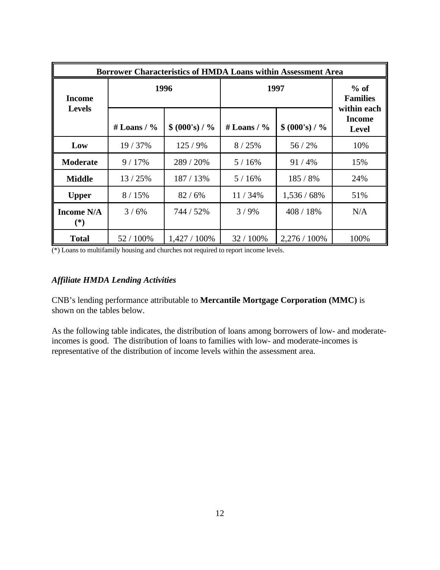| Borrower Characteristics of HMDA Loans within Assessment Area |                |                  |                |                           |                                              |  |
|---------------------------------------------------------------|----------------|------------------|----------------|---------------------------|----------------------------------------------|--|
| <b>Income</b>                                                 | 1996           |                  | 1997           | $%$ of<br><b>Families</b> |                                              |  |
| <b>Levels</b>                                                 | # Loans / $\%$ | $$ (000's) / \%$ | # Loans / $\%$ | $$ (000's) / \%$          | within each<br><b>Income</b><br><b>Level</b> |  |
| Low                                                           | 19 / 37%       | 125/9%           | 8/25%          | 56/2%                     | 10%                                          |  |
| <b>Moderate</b>                                               | 9/17%          | 289 / 20%        | 5/16%          | 91/4%                     | 15%                                          |  |
| <b>Middle</b>                                                 | 13/25%         | 187 / 13%        | 5/16%          | 185 / 8%                  | 24%                                          |  |
| <b>Upper</b>                                                  | 8/15%          | 82/6%            | 11/34%         | 1,536 / 68%               | 51%                                          |  |
| <b>Income N/A</b><br>$(*)$                                    | $3/6\%$        | 744 / 52%        | $3/9\%$        | 408 / 18%                 | N/A                                          |  |
| <b>Total</b>                                                  | 52 / 100%      | $1,427/100\%$    | 32 / 100%      | 2,276 / 100%              | 100%                                         |  |

(\*) Loans to multifamily housing and churches not required to report income levels.

#### *Affiliate HMDA Lending Activities*

CNB's lending performance attributable to **Mercantile Mortgage Corporation (MMC)** is shown on the tables below.

As the following table indicates, the distribution of loans among borrowers of low- and moderateincomes is good. The distribution of loans to families with low- and moderate-incomes is representative of the distribution of income levels within the assessment area.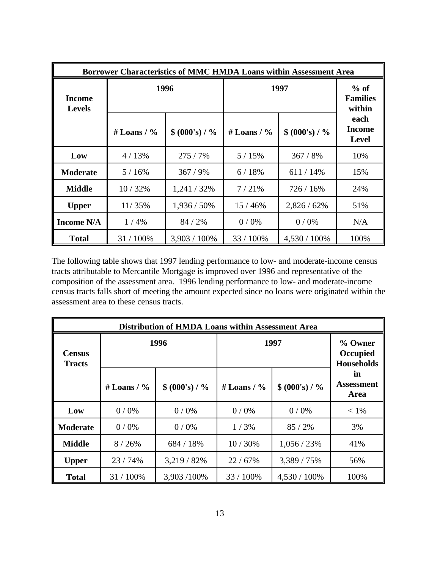| <b>Borrower Characteristics of MMC HMDA Loans within Assessment Area</b> |                                    |              |                |                  |                                       |  |  |
|--------------------------------------------------------------------------|------------------------------------|--------------|----------------|------------------|---------------------------------------|--|--|
| <b>Income</b><br><b>Levels</b>                                           | 1996<br>1997                       |              |                |                  | $%$ of<br><b>Families</b><br>within   |  |  |
|                                                                          | $$ (000's) / \%$<br># Loans / $\%$ |              | # Loans / $\%$ | $$ (000's) / \%$ | each<br><b>Income</b><br><b>Level</b> |  |  |
| Low                                                                      | 4/13%                              | 275/7%       | 5/15%          | 367/8%           | 10%                                   |  |  |
| <b>Moderate</b>                                                          | 5/16%                              | 367/9%       | 6/18%          | 611/14%          | 15%                                   |  |  |
| <b>Middle</b>                                                            | 10/32%                             | 1,241/32%    | 7/21%          | 726 / 16%        | 24%                                   |  |  |
| <b>Upper</b>                                                             | 11/35%                             | 1,936 / 50%  | 15/46%         | $2,826/62\%$     | 51%                                   |  |  |
| <b>Income N/A</b>                                                        | 1/4%                               | 84 / 2%      | $0/0\%$        | $0/0\%$          | N/A                                   |  |  |
| <b>Total</b>                                                             | 31 / 100%                          | 3,903 / 100% | 33 / 100%      | 4,530 / 100%     | 100%                                  |  |  |

The following table shows that 1997 lending performance to low- and moderate-income census tracts attributable to Mercantile Mortgage is improved over 1996 and representative of the composition of the assessment area. 1996 lending performance to low- and moderate-income census tracts falls short of meeting the amount expected since no loans were originated within the assessment area to these census tracts.

|                                | <b>Distribution of HMDA Loans within Assessment Area</b> |                  |                |                  |                                          |  |  |  |
|--------------------------------|----------------------------------------------------------|------------------|----------------|------------------|------------------------------------------|--|--|--|
| <b>Census</b><br><b>Tracts</b> | 1996                                                     |                  | 1997           |                  | % Owner<br>Occupied<br><b>Households</b> |  |  |  |
|                                | # Loans / $\%$                                           | $$ (000's) / \%$ | # Loans / $\%$ | $$ (000's) / \%$ | in<br><b>Assessment</b><br>Area          |  |  |  |
| Low                            | $0/0\%$                                                  | $0/0\%$          | $0/0\%$        | $0/0\%$          | $< 1\%$                                  |  |  |  |
| <b>Moderate</b>                | $0/0\%$                                                  | $0/0\%$          | 1/3%           | 85 / 2%          | 3%                                       |  |  |  |
| <b>Middle</b>                  | 8/26%                                                    | 684 / 18%        | 10/30%         | 1,056/23%        | 41%                                      |  |  |  |
| <b>Upper</b>                   | 23 / 74%                                                 | 3,219 / 82%      | 22/67%         | 3,389 / 75%      | 56%                                      |  |  |  |
| <b>Total</b>                   | 31 / 100%                                                | 3,903/100%       | 33 / 100%      | 4,530 / 100%     | 100%                                     |  |  |  |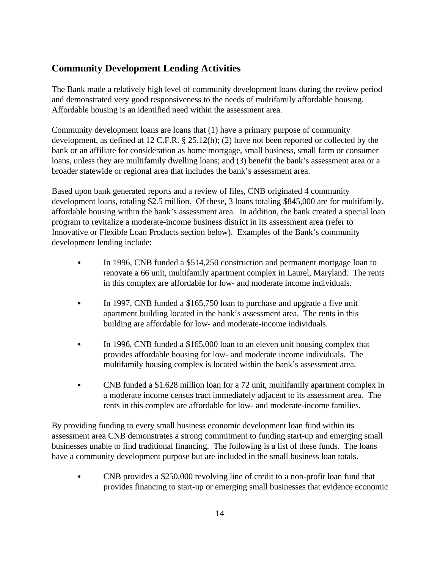# **Community Development Lending Activities**

The Bank made a relatively high level of community development loans during the review period and demonstrated very good responsiveness to the needs of multifamily affordable housing. Affordable housing is an identified need within the assessment area.

Community development loans are loans that (1) have a primary purpose of community development, as defined at 12 C.F.R. § 25.12(h); (2) have not been reported or collected by the bank or an affiliate for consideration as home mortgage, small business, small farm or consumer loans, unless they are multifamily dwelling loans; and (3) benefit the bank's assessment area or a broader statewide or regional area that includes the bank's assessment area.

Based upon bank generated reports and a review of files, CNB originated 4 community development loans, totaling \$2.5 million. Of these, 3 loans totaling \$845,000 are for multifamily, affordable housing within the bank's assessment area. In addition, the bank created a special loan program to revitalize a moderate-income business district in its assessment area (refer to Innovative or Flexible Loan Products section below). Examples of the Bank's community development lending include:

- In 1996, CNB funded a \$514,250 construction and permanent mortgage loan to renovate a 66 unit, multifamily apartment complex in Laurel, Maryland. The rents in this complex are affordable for low- and moderate income individuals.
- In 1997, CNB funded a \$165,750 loan to purchase and upgrade a five unit apartment building located in the bank's assessment area. The rents in this building are affordable for low- and moderate-income individuals.
- In 1996, CNB funded a \$165,000 loan to an eleven unit housing complex that provides affordable housing for low- and moderate income individuals. The multifamily housing complex is located within the bank's assessment area.
- CNB funded a \$1.628 million loan for a 72 unit, multifamily apartment complex in a moderate income census tract immediately adjacent to its assessment area. The rents in this complex are affordable for low- and moderate-income families.

By providing funding to every small business economic development loan fund within its assessment area CNB demonstrates a strong commitment to funding start-up and emerging small businesses unable to find traditional financing. The following is a list of these funds. The loans have a community development purpose but are included in the small business loan totals.

• CNB provides a \$250,000 revolving line of credit to a non-profit loan fund that provides financing to start-up or emerging small businesses that evidence economic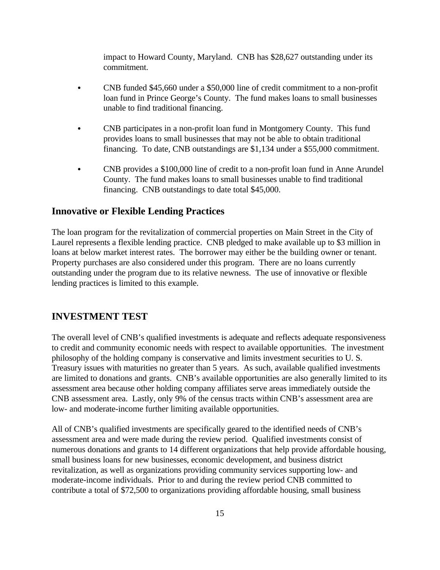impact to Howard County, Maryland. CNB has \$28,627 outstanding under its commitment.

- CNB funded \$45,660 under a \$50,000 line of credit commitment to a non-profit loan fund in Prince George's County. The fund makes loans to small businesses unable to find traditional financing.
- C CNB participates in a non-profit loan fund in Montgomery County. This fund provides loans to small businesses that may not be able to obtain traditional financing. To date, CNB outstandings are \$1,134 under a \$55,000 commitment.
- C CNB provides a \$100,000 line of credit to a non-profit loan fund in Anne Arundel County. The fund makes loans to small businesses unable to find traditional financing. CNB outstandings to date total \$45,000.

#### **Innovative or Flexible Lending Practices**

The loan program for the revitalization of commercial properties on Main Street in the City of Laurel represents a flexible lending practice. CNB pledged to make available up to \$3 million in loans at below market interest rates. The borrower may either be the building owner or tenant. Property purchases are also considered under this program. There are no loans currently outstanding under the program due to its relative newness. The use of innovative or flexible lending practices is limited to this example.

#### **INVESTMENT TEST**

The overall level of CNB's qualified investments is adequate and reflects adequate responsiveness to credit and community economic needs with respect to available opportunities. The investment philosophy of the holding company is conservative and limits investment securities to U. S. Treasury issues with maturities no greater than 5 years. As such, available qualified investments are limited to donations and grants. CNB's available opportunities are also generally limited to its assessment area because other holding company affiliates serve areas immediately outside the CNB assessment area. Lastly, only 9% of the census tracts within CNB's assessment area are low- and moderate-income further limiting available opportunities.

All of CNB's qualified investments are specifically geared to the identified needs of CNB's assessment area and were made during the review period. Qualified investments consist of numerous donations and grants to 14 different organizations that help provide affordable housing, small business loans for new businesses, economic development, and business district revitalization, as well as organizations providing community services supporting low- and moderate-income individuals. Prior to and during the review period CNB committed to contribute a total of \$72,500 to organizations providing affordable housing, small business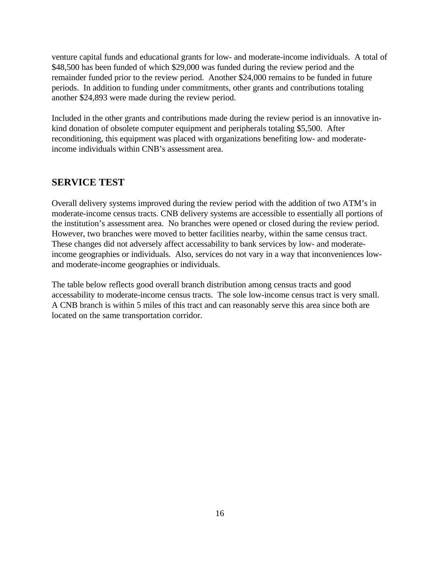venture capital funds and educational grants for low- and moderate-income individuals. A total of \$48,500 has been funded of which \$29,000 was funded during the review period and the remainder funded prior to the review period. Another \$24,000 remains to be funded in future periods. In addition to funding under commitments, other grants and contributions totaling another \$24,893 were made during the review period.

Included in the other grants and contributions made during the review period is an innovative inkind donation of obsolete computer equipment and peripherals totaling \$5,500. After reconditioning, this equipment was placed with organizations benefiting low- and moderateincome individuals within CNB's assessment area.

#### **SERVICE TEST**

Overall delivery systems improved during the review period with the addition of two ATM's in moderate-income census tracts. CNB delivery systems are accessible to essentially all portions of the institution's assessment area. No branches were opened or closed during the review period. However, two branches were moved to better facilities nearby, within the same census tract. These changes did not adversely affect accessability to bank services by low- and moderateincome geographies or individuals. Also, services do not vary in a way that inconveniences lowand moderate-income geographies or individuals.

The table below reflects good overall branch distribution among census tracts and good accessability to moderate-income census tracts. The sole low-income census tract is very small. A CNB branch is within 5 miles of this tract and can reasonably serve this area since both are located on the same transportation corridor.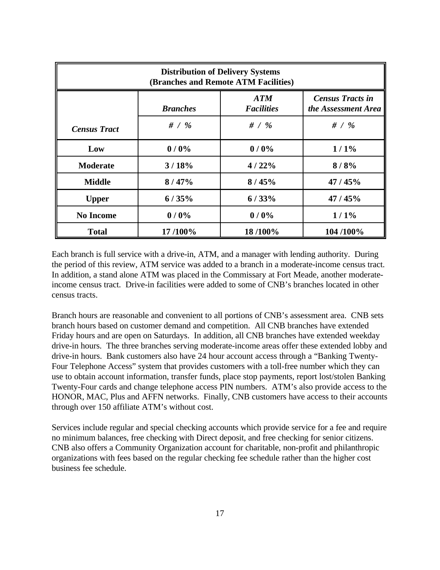| <b>Distribution of Delivery Systems</b><br>(Branches and Remote ATM Facilities) |                 |                          |                                                |
|---------------------------------------------------------------------------------|-----------------|--------------------------|------------------------------------------------|
|                                                                                 | <b>Branches</b> | ATM<br><b>Facilities</b> | <b>Census Tracts in</b><br>the Assessment Area |
| <b>Census Tract</b>                                                             | # $/$ %         | # $/$ %                  | # $/$ %                                        |
| Low                                                                             | 0/0%            | 0/0%                     | $1/1\%$                                        |
| <b>Moderate</b>                                                                 | 3/18%           | 4/22%                    | 8/8%                                           |
| <b>Middle</b>                                                                   | 8/47%           | 8/45%                    | 47/45%                                         |
| <b>Upper</b>                                                                    | 6/35%           | 6/33%                    | 47 / 45%                                       |
| <b>No Income</b>                                                                | 0/0%            | 0/0%                     | $1/1\%$                                        |
| <b>Total</b>                                                                    | 17/100%         | 18/100%                  | 104 /100%                                      |

Each branch is full service with a drive-in, ATM, and a manager with lending authority. During the period of this review, ATM service was added to a branch in a moderate-income census tract. In addition, a stand alone ATM was placed in the Commissary at Fort Meade, another moderateincome census tract. Drive-in facilities were added to some of CNB's branches located in other census tracts.

Branch hours are reasonable and convenient to all portions of CNB's assessment area. CNB sets branch hours based on customer demand and competition. All CNB branches have extended Friday hours and are open on Saturdays. In addition, all CNB branches have extended weekday drive-in hours. The three branches serving moderate-income areas offer these extended lobby and drive-in hours. Bank customers also have 24 hour account access through a "Banking Twenty-Four Telephone Access" system that provides customers with a toll-free number which they can use to obtain account information, transfer funds, place stop payments, report lost/stolen Banking Twenty-Four cards and change telephone access PIN numbers. ATM's also provide access to the HONOR, MAC, Plus and AFFN networks. Finally, CNB customers have access to their accounts through over 150 affiliate ATM's without cost.

Services include regular and special checking accounts which provide service for a fee and require no minimum balances, free checking with Direct deposit, and free checking for senior citizens. CNB also offers a Community Organization account for charitable, non-profit and philanthropic organizations with fees based on the regular checking fee schedule rather than the higher cost business fee schedule.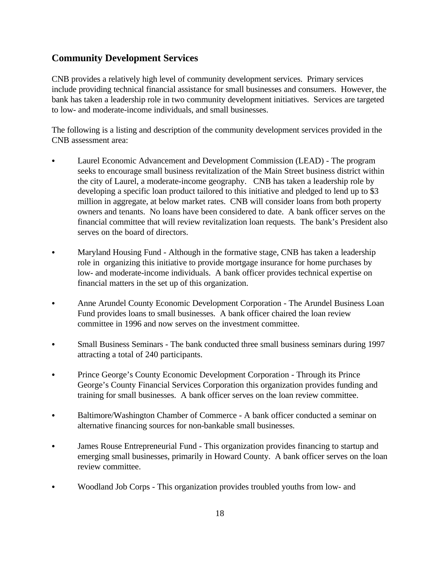# **Community Development Services**

CNB provides a relatively high level of community development services. Primary services include providing technical financial assistance for small businesses and consumers. However, the bank has taken a leadership role in two community development initiatives. Services are targeted to low- and moderate-income individuals, and small businesses.

The following is a listing and description of the community development services provided in the CNB assessment area:

- Laurel Economic Advancement and Development Commission (LEAD) The program seeks to encourage small business revitalization of the Main Street business district within the city of Laurel, a moderate-income geography. CNB has taken a leadership role by developing a specific loan product tailored to this initiative and pledged to lend up to \$3 million in aggregate, at below market rates. CNB will consider loans from both property owners and tenants. No loans have been considered to date. A bank officer serves on the financial committee that will review revitalization loan requests. The bank's President also serves on the board of directors.
- Maryland Housing Fund Although in the formative stage, CNB has taken a leadership role in organizing this initiative to provide mortgage insurance for home purchases by low- and moderate-income individuals. A bank officer provides technical expertise on financial matters in the set up of this organization.
- Anne Arundel County Economic Development Corporation The Arundel Business Loan Fund provides loans to small businesses. A bank officer chaired the loan review committee in 1996 and now serves on the investment committee.
- Small Business Seminars The bank conducted three small business seminars during 1997 attracting a total of 240 participants.
- Prince George's County Economic Development Corporation Through its Prince George's County Financial Services Corporation this organization provides funding and training for small businesses. A bank officer serves on the loan review committee.
- Baltimore/Washington Chamber of Commerce A bank officer conducted a seminar on alternative financing sources for non-bankable small businesses.
- James Rouse Entrepreneurial Fund This organization provides financing to startup and emerging small businesses, primarily in Howard County. A bank officer serves on the loan review committee.
- Woodland Job Corps This organization provides troubled youths from low- and